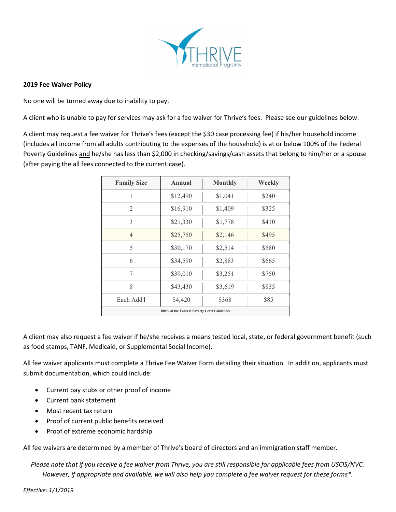

## 2019 Fee Waiver Policy

No one will be turned away due to inability to pay.

A client who is unable to pay for services may ask for a fee waiver for Thrive's fees. Please see our guidelines below.

A client may request a fee waiver for Thrive's fees (except the \$30 case processing fee) if his/her household income (includes all income from all adults contributing to the expenses of the household) is at or below 100% of the Federal Poverty Guidelines and he/she has less than \$2,000 in checking/savings/cash assets that belong to him/her or a spouse (after paying the all fees connected to the current case).

| <b>Family Size</b> | Annual                                       | <b>Monthly</b> | Weekly |
|--------------------|----------------------------------------------|----------------|--------|
| 1                  | \$12,490                                     | \$1,041        | \$240  |
| 2                  | \$16,910                                     | \$1,409        | \$325  |
| 3                  | \$21,330                                     | \$1,778        | \$410  |
| $\overline{4}$     | \$25,750                                     | \$2,146        | \$495  |
| 5                  | \$30,170                                     | \$2,514        | \$580  |
| 6                  | \$34,590                                     | \$2,883        | \$665  |
| 7                  | \$39,010                                     | \$3,251        | \$750  |
| 8                  | \$43,430                                     | \$3,619        | \$835  |
| Each Add'l         | \$4,420                                      | \$368          | \$85   |
|                    | 100% of the Federal Poverty Level Guidelines |                |        |

A client may also request a fee waiver if he/she receives a means tested local, state, or federal government benefit (such as food stamps, TANF, Medicaid, or Supplemental Social Income).

All fee waiver applicants must complete a Thrive Fee Waiver Form detailing their situation. In addition, applicants must submit documentation, which could include:

- Current pay stubs or other proof of income
- Current bank statement
- Most recent tax return
- Proof of current public benefits received
- Proof of extreme economic hardship

All fee waivers are determined by a member of Thrive's board of directors and an immigration staff member.

Please note that if you receive a fee waiver from Thrive, you are still responsible for applicable fees from USCIS/NVC. However, if appropriate and available, we will also help you complete a fee waiver request for these forms\*.